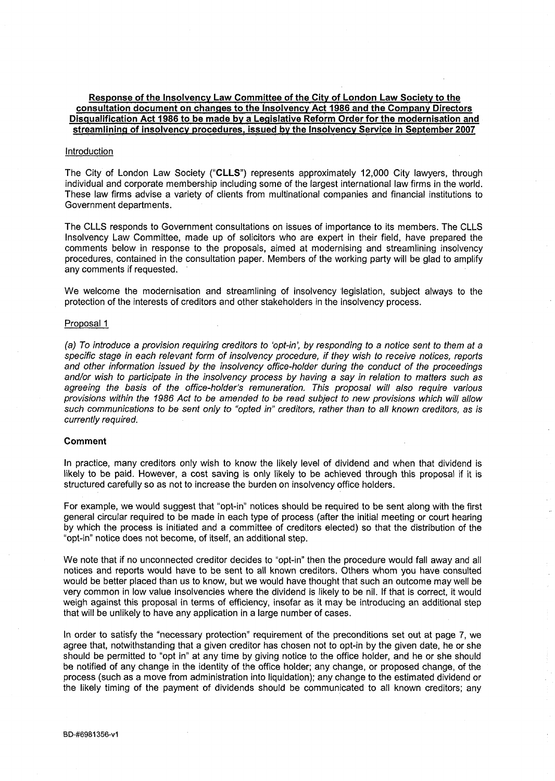# **Response of the Insolvency Law Committee of the City of London Law Society to the consultation document on changes to the Insolvency Act 1986 and the Company Directors Disqualification Act 1986 to be made by a Legislative Reform Order for the modernisation and streamlining of insolvency procedures, issued by the Insolvency Service in September 2007**

## Introduction

The City of London Law Society **("CLLS")** represents approximately 12,000 City lawyers, through individual and corporate membership including some of the largest international law firms in the world. These law firms advise a variety of clients from multinational companies and financial institutions to Government departments.

The CLLS responds to Government consultations on issues of importance to its members. The CLLS Insolvency Law Committee, made up of solicitors who are expert in their field, have prepared the comments below in response to the proposals, aimed at modernising and streamlining insolvency procedures, contained in the consultation paper. Members of the working party will be glad to amplify any comments if requested.

We welcome the modernisation and streamlining of insolvency legislation, subject always to the protection of the interests of creditors and other stakeholders in the insolvency process.

# Proposal 1

(a) To introduce a provision requiring creditors to 'opt-in', by responding to a notice sent to them at a specific stage in each relevant form of insolvency procedure, if they wish to receive notices, reports and other information issued by the insolvency office-holder during the conduct of the proceedings and/or wish to participate in the insolvency process by having a say in relation to matters such as agreeing the basis of the office-holder's remuneration. This proposal will also require various provisions within the 1986 Act to be amended to be read subject to new provisions which will allow such communications to be sent only to "opted in" creditors, rather than to all known creditors, as is currently required.

# **Comment**

In practice, many creditors only wish to know the likely level of dividend and when that dividend is likely to be paid. However, a cost saving is only likely to be achieved through this proposal if it is structured carefully so as not to increase the burden on insolvency office holders.

For example, we would suggest that "opt-in" notices should be required to be sent along with the first general circular required to be made in each type of process (after the initial meeting or court hearing by which the process is initiated and a committee of creditors elected) so that the distribution of the "opt-in" notice does not become, of itself, an additional step.

We note that if no unconnected creditor decides to "opt-in" then the procedure would fall away and all notices and reports would have to be sent to all known creditors. Others whom you have consulted would be better placed than us to know, but we would have thought that such an outcome may well be very common in low value insolvencies where the dividend is likely to be nil. If that is correct, it would weigh against this proposal in terms of efficiency, insofar as it may be introducing an additional step that will be unlikely to have any application in a large number of cases.

In order to satisfy the "necessary protection" requirement of the preconditions set out at page 7, we agree that, notwithstanding that a given creditor has chosen not to opt-in by the given date, he or she should be permitted to "opt in" at any time by giving notice to the office holder, and he or she should be notified of any change in the identity of the office holder; any change, or proposed change, of the process (such as a move from administration into liquidation); any change to the estimated dividend or the likely timing of the payment of dividends should be communicated to all known creditors; any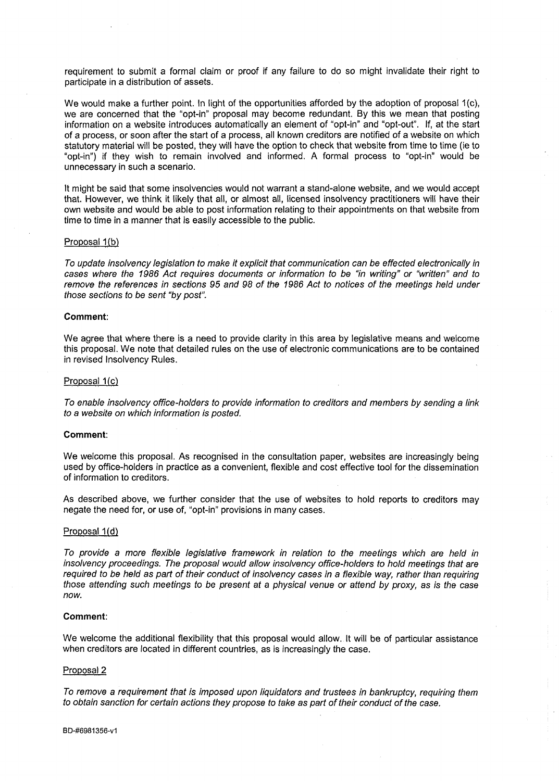requirement to submit a formal claim or proof if any failure to do so might invalidate their right to participate in a distribution of assets.

We would make a further point. In light of the opportunities afforded by the adoption of proposal 1(c), we are concerned that the "opt-in" proposal may become redundant. By this we mean that posting information on a website introduces automatically an element of "opt-in" and "opt-out". If, at the start of a process, or soon after the start of a process, all known creditors are notified of a website on which statutory material will be posted, they will have the option to check that website from time to time (ie to "opt-in") if they wish to remain involved and informed. A formal process to "opt-in" would be unnecessary in such a scenario.

It might be said that some insolvencies would not warrant a stand-alone website, and we would accept that. However, we think it likely that all, or almost all, licensed insolvency practitioners will have their own website and would be able to post information relating to their appointments on that website from time to time in a manner that is easily accessible to the public.

# Proposal 1(b)

To update insolvency legislation to make it explicit that communication can be effected electronically in cases where the 1986 Act requires documents or information to be "in writing" or "written" and to remove the references in sections 95 and 98 of the 1986 Act to notices of the meetings held under those sections to be sent "by post".

### **Comment:**

We agree that where there is a need to provide clarity in this area by legislative means and welcome this proposal. We note that detailed rules on the use of electronic communications are to be contained in revised Insolvency Rules.

#### Proposal 1(c)

To enable insolvency office-holders to provide information to creditors and members by sending a link to a website on which information is posted.

### **Comment:**

We welcome this proposal. As recognised in the consultation paper, websites are increasingly being used by office-holders in practice as a convenient, flexible and cost effective tool for the dissemination of information to creditors.

As described above, we further consider that the use of websites to hold reports to creditors may negate the need for, or use of, "opt-in" provisions in many cases.

#### Proposal 1(d)

To provide a more flexible legislative framework in relation to the meetings which are held in insolvency proceedings. The proposal would allow insolvency office-holders to hold meetings that are required to be held as part of their conduct of insolvency cases in a flexible way, rather than requiring those attending such meetings to be present at a physical venue or attend by proxy, as is the case now.

# **Comment:**

We welcome the additional flexibility that this proposal would allow. It will be of particular assistance when creditors are located in different countries, as is increasingly the case.

# Proposal 2

To remove a requirement that is imposed upon liquidators and trustees in bankruptcy, requiring them to obtain sanction for certain actions they propose to take as part of their conduct of the case.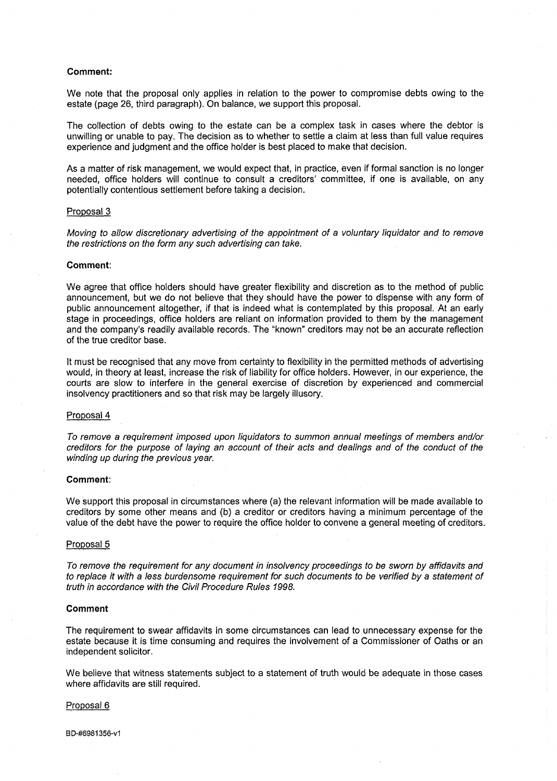## **Comment:**

We note that the proposal only applies in relation to the power to compromise debts owing to the estate (page 26, third paragraph). On balance, we support this proposal.

The collection of debts owing to the estate can be a complex task in cases where the debtor is unwilling or unable to pay. The decision as to whether to settle a claim at less than full value requires experience and judgment and the office holder is best placed to make that decision.

As a matter of risk management, we would expect that, in practice, even if formal sanction is no longer needed, office holders will continue to consult a creditors' committee, if one is available, on any potentially contentious settlement before taking a decision.

# Proposal 3

Moving to allow discretionary advertising of the appointment of a voluntary liquidator and to remove the restrictions on the form any such advertising can take.

#### **Comment:**

We agree that office holders should have greater flexibility and discretion as to the method of public announcement, but we do not believe that they should have the power to dispense with any form of public announcement altogether, if that is indeed what is contemplated by this proposal. At an early stage in proceedings, office holders are reliant on information provided to them by the management and the company's readily available records. The "known" creditors may not be an accurate reflection of the true creditor base.

It must be recognised that any move from certainty to flexibility in the permitted methods of advertising would, in theory at least, increase the risk of liability for office holders. However, in our experience, the courts are slow to interfere in the general exercise of discretion by experienced and commercial insolvency practitioners and so that risk may be largely illusory.

# Proposal 4

To remove a requirement imposed upon liquidators to summon annual meetings of members and/or creditors for the purpose of laying an account of their acts and dealings and of the conduct of the winding up during the previous year.

# **Comment:**

We support this proposal in circumstances where (a) the relevant information will be made available to creditors by some other means and (b) a creditor or creditors having a minimum percentage of the value of the debt have the power to require the office holder to convene a general meeting of creditors.

### Proposal 5

To remove the requirement for any document in insolvency proceedings to be sworn by affidavits and to replace it with a less burdensome requirement for such documents to be verified by a statement of truth in accordance with the Civil Procedure Rules 1998.

### **Comment**

The requirement to swear affidavits in some circumstances can lead to unnecessary expense for the estate because it is time consuming and requires the involvement of a Commissioner of Oaths or an independent solicitor.

We believe that witness statements subject to a statement of truth would be adequate in those cases where affidavits are still required.

#### Proposal 6

BD-#6981356-v1